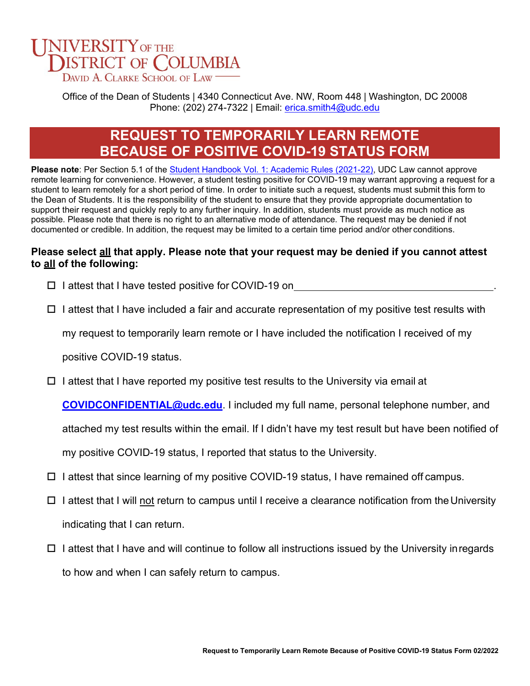

Office of the Dean of Students | 4340 Connecticut Ave. NW, Room 448 | Washington, DC 20008 Phone: (202) 274-7322 | Email: [erica.smith4@udc.edu](mailto:erica.smith4@udc.edu)

## **REQUEST TO TEMPORARILY LEARN REMOTE BECAUSE OF POSITIVE COVID-19 STATUS FORM**

**Please note**: Per Section 5.1 of the Student Handbook Vol. 1: Academic Rules (2021-22), UDC Law cannot approve remote learning for convenience. However, a student testing positive for COVID-19 may warrant approving a request for a student to learn remotely for a short period of time. In order to initiate such a request, students must submit this form to the Dean of Students. It is the responsibility of the student to ensure that they provide appropriate documentation to support their request and quickly reply to any further inquiry. In addition, students must provide as much notice as possible. Please note that there is no right to an alternative mode of attendance. The request may be denied if not documented or credible. In addition, the request may be limited to a certain time period and/or other conditions.

## **Please select all that apply. Please note that your request may be denied if you cannot attest to all of the following:**

 $\square$  I attest that I have tested positive for COVID-19 on

 $\Box$  I attest that I have included a fair and accurate representation of my positive test results with

my request to temporarily learn remote or I have included the notification I received of my

positive COVID-19 status.

 $\Box$  I attest that I have reported my positive test results to the University via email at

**[COVIDCONFIDENTIAL@udc.edu](mailto:COVIDCONFIDENTIAL@udc.edu)**. I included my full name, personal telephone number, and

attached my test results within the email. If I didn't have my test result but have been notified of

my positive COVID-19 status, I reported that status to the University.

- $\Box$  I attest that since learning of my positive COVID-19 status, I have remained off campus.
- $\Box$  I attest that I will not return to campus until I receive a clearance notification from the University indicating that I can return.
- $\Box$  I attest that I have and will continue to follow all instructions issued by the University in regards to how and when I can safely return to campus.